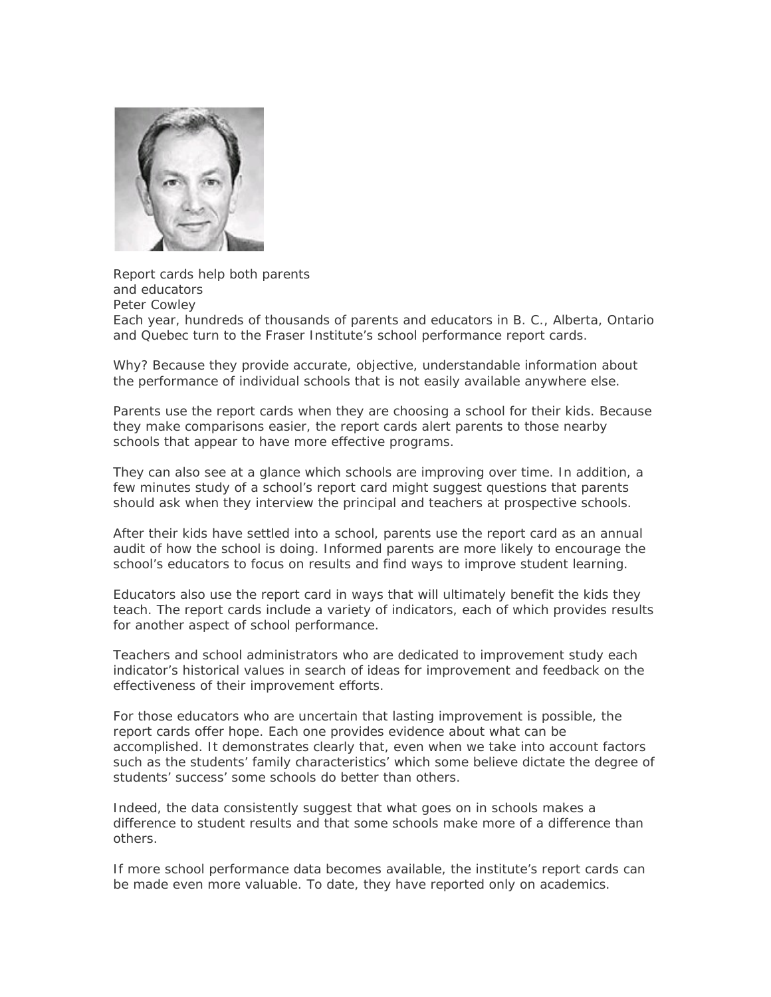

Report cards help both parents and educators Peter Cowley Each year, hundreds of thousands of parents and educators in B. C., Alberta, Ontario and Quebec turn to the Fraser Institute's school performance report cards.

Why? Because they provide accurate, objective, understandable information about the performance of individual schools that is not easily available anywhere else.

Parents use the report cards when they are choosing a school for their kids. Because they make comparisons easier, the report cards alert parents to those nearby schools that appear to have more effective programs.

They can also see at a glance which schools are improving over time. In addition, a few minutes study of a school's report card might suggest questions that parents should ask when they interview the principal and teachers at prospective schools.

After their kids have settled into a school, parents use the report card as an annual audit of how the school is doing. Informed parents are more likely to encourage the school's educators to focus on results and find ways to improve student learning.

Educators also use the report card in ways that will ultimately benefit the kids they teach. The report cards include a variety of indicators, each of which provides results for another aspect of school performance.

Teachers and school administrators who are dedicated to improvement study each indicator's historical values in search of ideas for improvement and feedback on the effectiveness of their improvement efforts.

For those educators who are uncertain that lasting improvement is possible, the report cards offer hope. Each one provides evidence about what can be accomplished. It demonstrates clearly that, even when we take into account factors such as the students' family characteristics' which some believe dictate the degree of students' success' some schools do better than others.

Indeed, the data consistently suggest that what goes on in schools makes a difference to student results and that some schools make more of a difference than others.

If more school performance data becomes available, the institute's report cards can be made even more valuable. To date, they have reported only on academics.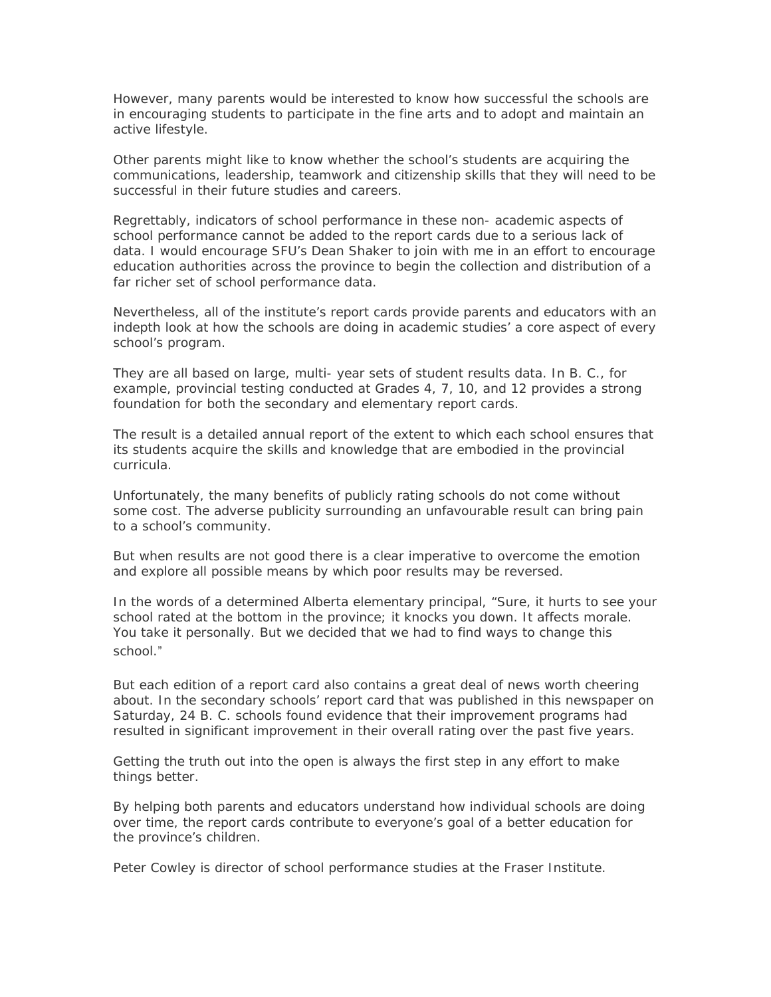However, many parents would be interested to know how successful the schools are in encouraging students to participate in the fine arts and to adopt and maintain an active lifestyle.

Other parents might like to know whether the school's students are acquiring the communications, leadership, teamwork and citizenship skills that they will need to be successful in their future studies and careers.

Regrettably, indicators of school performance in these non- academic aspects of school performance cannot be added to the report cards due to a serious lack of data. I would encourage SFU's Dean Shaker to join with me in an effort to encourage education authorities across the province to begin the collection and distribution of a far richer set of school performance data.

Nevertheless, all of the institute's report cards provide parents and educators with an indepth look at how the schools are doing in academic studies' a core aspect of every school's program.

They are all based on large, multi- year sets of student results data. In B. C., for example, provincial testing conducted at Grades 4, 7, 10, and 12 provides a strong foundation for both the secondary and elementary report cards.

The result is a detailed annual report of the extent to which each school ensures that its students acquire the skills and knowledge that are embodied in the provincial curricula.

Unfortunately, the many benefits of publicly rating schools do not come without some cost. The adverse publicity surrounding an unfavourable result can bring pain to a school's community.

But when results are not good there is a clear imperative to overcome the emotion and explore all possible means by which poor results may be reversed.

In the words of a determined Alberta elementary principal, "Sure, it hurts to see your school rated at the bottom in the province; it knocks you down. It affects morale. You take it personally. But we decided that we had to find ways to change this school."

But each edition of a report card also contains a great deal of news worth cheering about. In the secondary schools' report card that was published in this newspaper on Saturday, 24 B. C. schools found evidence that their improvement programs had resulted in significant improvement in their overall rating over the past five years.

Getting the truth out into the open is always the first step in any effort to make things better.

By helping both parents and educators understand how individual schools are doing over time, the report cards contribute to everyone's goal of a better education for the province's children.

Peter Cowley is director of school performance studies at the Fraser Institute.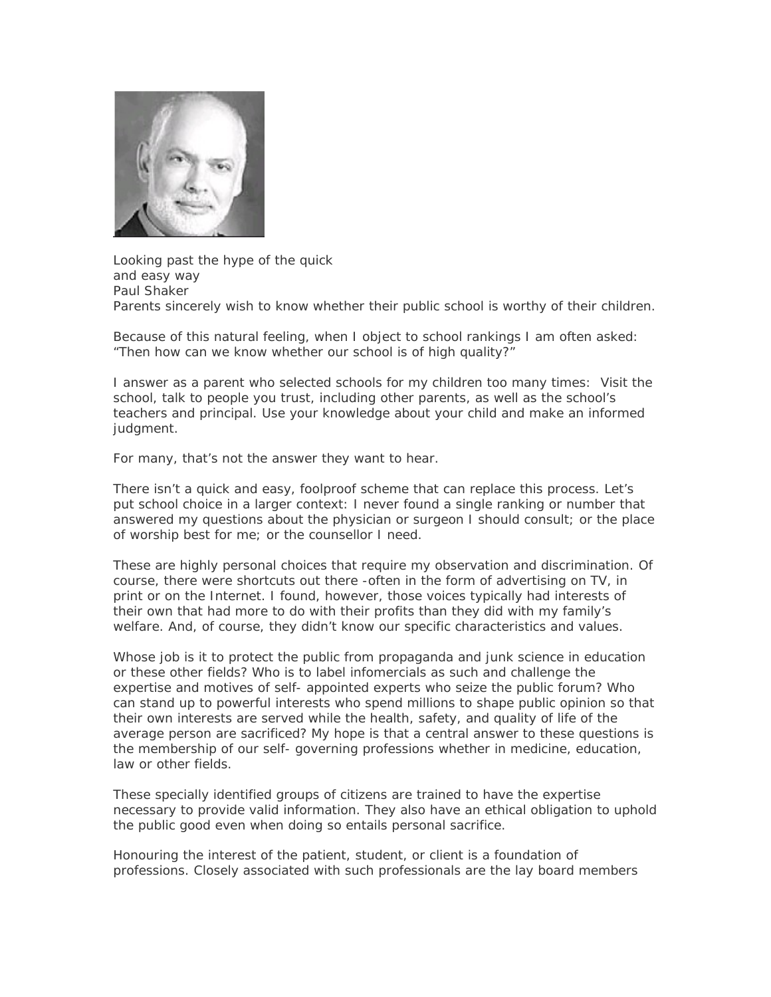

Looking past the hype of the quick and easy way Paul Shaker Parents sincerely wish to know whether their public school is worthy of their children.

Because of this natural feeling, when I object to school rankings I am often asked: "Then how can we know whether our school is of high quality?"

I answer as a parent who selected schools for my children too many times: Visit the school, talk to people you trust, including other parents, as well as the school's teachers and principal. Use your knowledge about your child and make an informed judgment.

For many, that's not the answer they want to hear.

There isn't a quick and easy, foolproof scheme that can replace this process. Let's put school choice in a larger context: I never found a single ranking or number that answered my questions about the physician or surgeon I should consult; or the place of worship best for me; or the counsellor I need.

These are highly personal choices that require my observation and discrimination. Of course, there were shortcuts out there -often in the form of advertising on TV, in print or on the Internet. I found, however, those voices typically had interests of their own that had more to do with their profits than they did with my family's welfare. And, of course, they didn't know our specific characteristics and values.

Whose job is it to protect the public from propaganda and junk science in education or these other fields? Who is to label infomercials as such and challenge the expertise and motives of self- appointed experts who seize the public forum? Who can stand up to powerful interests who spend millions to shape public opinion so that their own interests are served while the health, safety, and quality of life of the average person are sacrificed? My hope is that a central answer to these questions is the membership of our self- governing professions whether in medicine, education, law or other fields.

These specially identified groups of citizens are trained to have the expertise necessary to provide valid information. They also have an ethical obligation to uphold the public good even when doing so entails personal sacrifice.

Honouring the interest of the patient, student, or client is a foundation of professions. Closely associated with such professionals are the lay board members